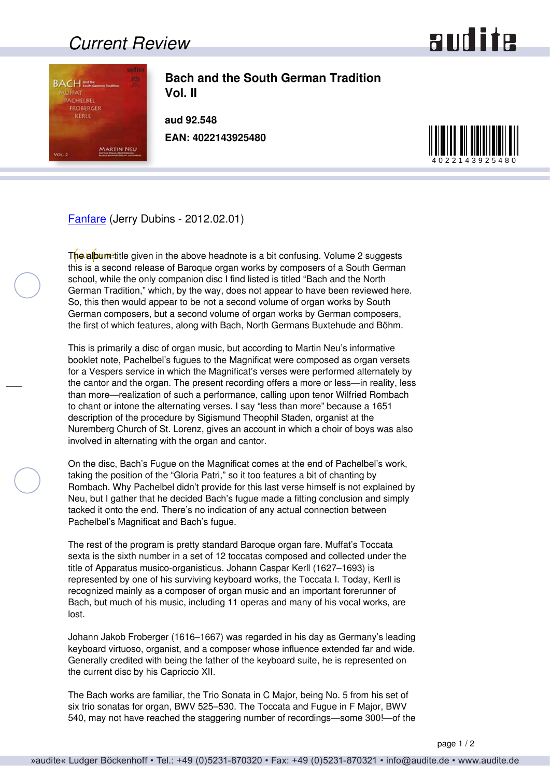## *Current Review*





**Bach and the South German Tradition Vol. II**

**aud 92.548 EAN: 4022143925480**



[Fanfare](http://www.fanfaremag.com/) (Jerry Dubins - 2012.02.01)

The album title given in the above headnote is a bit confusing. Volume 2 suggests this is a second release of Baroque organ works by composers of a South German school, while the only companion disc I find listed is titled "Bach and the North German Tradition," which, by the way, does not appear to have been reviewed here. So, this then would appear to be not a second volume of organ works by South German composers, but a second volume of organ works by German composers, the first of which features, along with Bach, North Germans Buxtehude and Böhm.

This is primarily a disc of organ music, but according to Martin Neu's informative booklet note, Pachelbel's fugues to the Magnificat were composed as organ versets for a Vespers service in which the Magnificat's verses were performed alternately by the cantor and the organ. The present recording offers a more or less—in reality, less than more—realization of such a performance, calling upon tenor Wilfried Rombach to chant or intone the alternating verses. I say "less than more" because a 1651 description of the procedure by Sigismund Theophil Staden, organist at the Nuremberg Church of St. Lorenz, gives an account in which a choir of boys was also involved in alternating with the organ and cantor.

On the disc, Bach's Fugue on the Magnificat comes at the end of Pachelbel's work, taking the position of the "Gloria Patri," so it too features a bit of chanting by Rombach. Why Pachelbel didn't provide for this last verse himself is not explained by Neu, but I gather that he decided Bach's fugue made a fitting conclusion and simply tacked it onto the end. There's no indication of any actual connection between Pachelbel's Magnificat and Bach's fugue.

The rest of the program is pretty standard Baroque organ fare. Muffat's Toccata sexta is the sixth number in a set of 12 toccatas composed and collected under the title of Apparatus musico-organisticus. Johann Caspar Kerll (1627–1693) is represented by one of his surviving keyboard works, the Toccata I. Today, Kerll is recognized mainly as a composer of organ music and an important forerunner of Bach, but much of his music, including 11 operas and many of his vocal works, are lost.

Johann Jakob Froberger (1616–1667) was regarded in his day as Germany's leading keyboard virtuoso, organist, and a composer whose influence extended far and wide. Generally credited with being the father of the keyboard suite, he is represented on the current disc by his Capriccio XII.

The Bach works are familiar, the Trio Sonata in C Major, being No. 5 from his set of six trio sonatas for organ, BWV 525–530. The Toccata and Fugue in F Major, BWV 540, may not have reached the staggering number of recordings—some 300!—of the